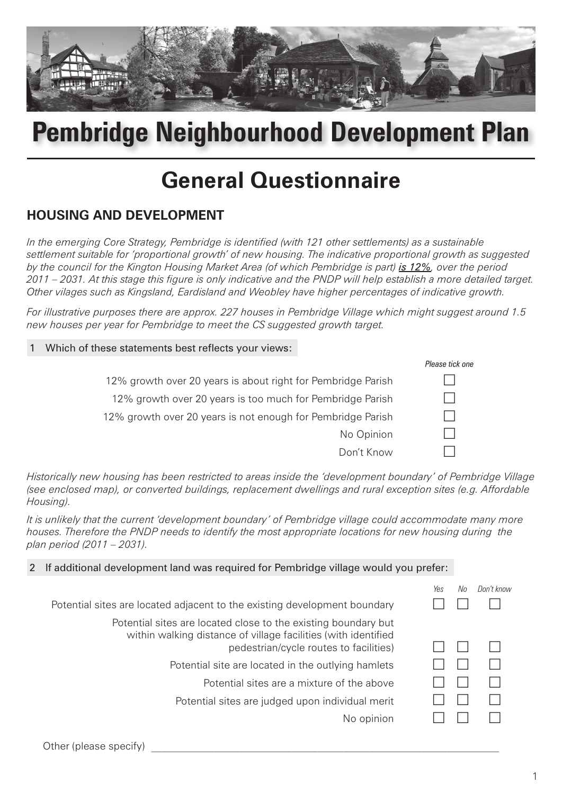

# **Pembridge Neighbourhood Development Plan**

## **General Questionnaire**

## **HOUSING AND DEVELOPMENT**

*In the emerging Core Strategy, Pembridge is identified (with 121 other settlements) as a sustainable settlement suitable for 'proportional growth' of new housing. The indicative proportional growth as suggested by the council for the Kington Housing Market Area (of which Pembridge is part) is 12%, over the period 2011 – 2031. At this stage this figure is only indicative and the PNDP will help establish a more detailed target. Other vilages such as Kingsland, Eardisland and Weobley have higher percentages of indicative growth.*

*For illustrative purposes there are approx. 227 houses in Pembridge Village which might suggest around 1.5 new houses per year for Pembridge to meet the CS suggested growth target.*

#### Which of these statements best reflects your views:

|                                                              | Please tick one |
|--------------------------------------------------------------|-----------------|
| 12% growth over 20 years is about right for Pembridge Parish |                 |
| 12% growth over 20 years is too much for Pembridge Parish    |                 |
| 12% growth over 20 years is not enough for Pembridge Parish  |                 |
| No Opinion                                                   |                 |
| Don't Know                                                   |                 |

*Historically new housing has been restricted to areas inside the 'development boundary' of Pembridge Village (see enclosed map), or converted buildings, replacement dwellings and rural exception sites (e.g. Affordable Housing).* 

*It is unlikely that the current 'development boundary' of Pembridge village could accommodate many more houses. Therefore the PNDP needs to identify the most appropriate locations for new housing during the plan period (2011 – 2031).*

#### 2 If additional development land was required for Pembridge village would you prefer:

|                                                                                                                                  | Yes | Nn | Don't know |
|----------------------------------------------------------------------------------------------------------------------------------|-----|----|------------|
| Potential sites are located adjacent to the existing development boundary                                                        |     |    |            |
| Potential sites are located close to the existing boundary but<br>within walking distance of village facilities (with identified |     |    |            |
| pedestrian/cycle routes to facilities)                                                                                           |     |    |            |
| Potential site are located in the outlying hamlets                                                                               |     |    |            |
| Potential sites are a mixture of the above                                                                                       |     |    |            |
| Potential sites are judged upon individual merit                                                                                 |     |    |            |
| No opinion                                                                                                                       |     |    |            |
|                                                                                                                                  |     |    |            |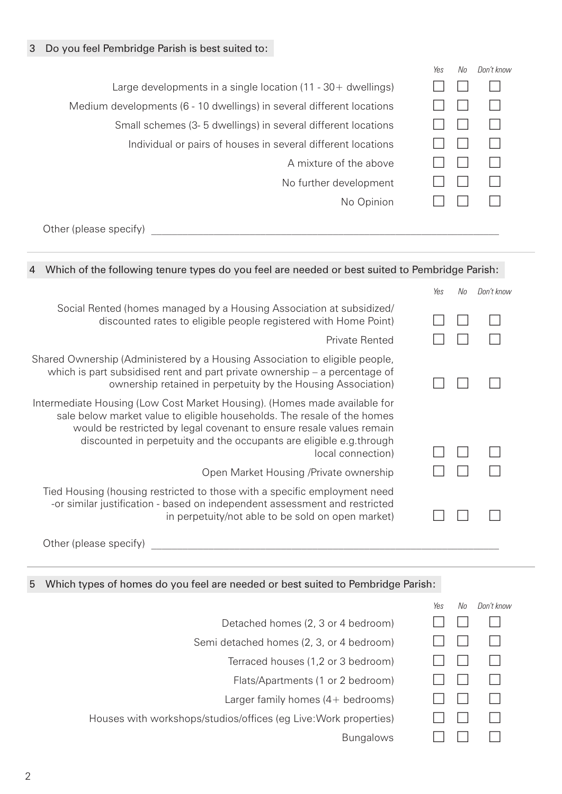|                                                                       | Yes | No | Don't know |
|-----------------------------------------------------------------------|-----|----|------------|
| Large developments in a single location $(11 - 30 +$ dwellings)       |     |    |            |
| Medium developments (6 - 10 dwellings) in several different locations |     |    |            |
| Small schemes (3-5 dwellings) in several different locations          |     |    |            |
| Individual or pairs of houses in several different locations          |     |    |            |
| A mixture of the above                                                |     |    |            |
| No further development                                                |     |    |            |
| No Opinion                                                            |     |    |            |
|                                                                       |     |    |            |

Other (please specify) \_\_\_\_\_\_\_\_\_\_\_\_\_\_\_\_\_\_\_\_\_\_\_\_\_\_\_\_\_\_\_\_\_\_\_\_\_\_\_\_\_\_\_\_\_\_\_\_\_\_\_\_\_\_\_\_\_\_\_\_\_\_\_\_\_\_\_

| Which of the following tenure types do you feel are needed or best suited to Pembridge Parish:<br>4                                                                                                                                                                                                                      |     |    |            |
|--------------------------------------------------------------------------------------------------------------------------------------------------------------------------------------------------------------------------------------------------------------------------------------------------------------------------|-----|----|------------|
|                                                                                                                                                                                                                                                                                                                          | Yes | Nn | Don't know |
| Social Rented (homes managed by a Housing Association at subsidized/<br>discounted rates to eligible people registered with Home Point)                                                                                                                                                                                  |     |    |            |
| <b>Private Rented</b>                                                                                                                                                                                                                                                                                                    |     |    |            |
| Shared Ownership (Administered by a Housing Association to eligible people,<br>which is part subsidised rent and part private ownership $-$ a percentage of<br>ownership retained in perpetuity by the Housing Association)                                                                                              |     |    |            |
| Intermediate Housing (Low Cost Market Housing). (Homes made available for<br>sale below market value to eligible households. The resale of the homes<br>would be restricted by legal covenant to ensure resale values remain<br>discounted in perpetuity and the occupants are eligible e.g.through<br>local connection) |     |    |            |
| Open Market Housing /Private ownership                                                                                                                                                                                                                                                                                   |     |    |            |
| Tied Housing (housing restricted to those with a specific employment need<br>-or similar justification - based on independent assessment and restricted<br>in perpetuity/not able to be sold on open market)                                                                                                             |     |    |            |
| Other (please specify)                                                                                                                                                                                                                                                                                                   |     |    |            |

#### 5 Which types of homes do you feel are needed or best suited to Pembridge Parish:

|                                                                  | Yes | No | Don't know |
|------------------------------------------------------------------|-----|----|------------|
| Detached homes (2, 3 or 4 bedroom)                               |     |    |            |
| Semi detached homes (2, 3, or 4 bedroom)                         |     |    |            |
| Terraced houses (1,2 or 3 bedroom)                               |     |    |            |
| Flats/Apartments (1 or 2 bedroom)                                |     |    |            |
| Larger family homes (4+ bedrooms)                                |     |    |            |
| Houses with workshops/studios/offices (eg Live: Work properties) |     |    |            |
| <b>Bungalows</b>                                                 |     |    |            |
|                                                                  |     |    |            |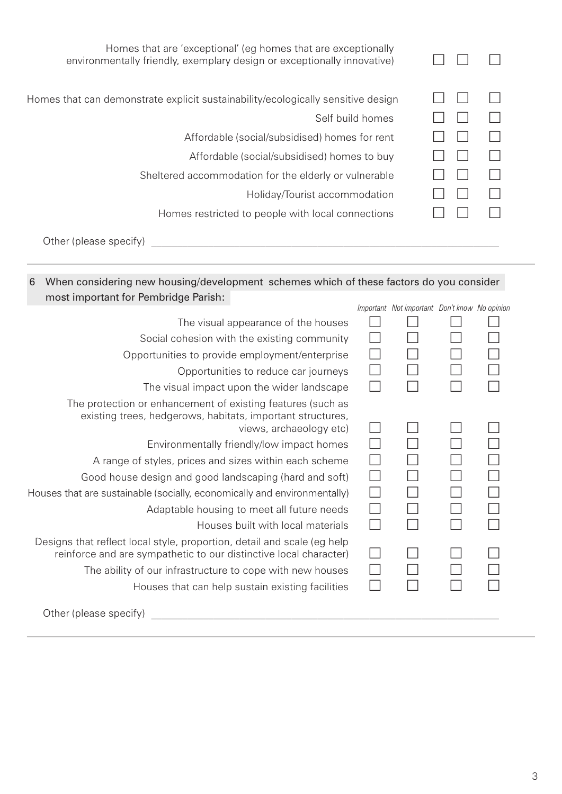| Homes that are 'exceptional' (eg homes that are exceptionally<br>environmentally friendly, exemplary design or exceptionally innovative) |  |
|------------------------------------------------------------------------------------------------------------------------------------------|--|
| Homes that can demonstrate explicit sustainability/ecologically sensitive design                                                         |  |
| Self build homes                                                                                                                         |  |
| Affordable (social/subsidised) homes for rent                                                                                            |  |
| Affordable (social/subsidised) homes to buy                                                                                              |  |
| Sheltered accommodation for the elderly or vulnerable                                                                                    |  |
| Holiday/Tourist accommodation                                                                                                            |  |
| Homes restricted to people with local connections                                                                                        |  |
|                                                                                                                                          |  |

Other (please specify) \_\_\_\_\_\_\_\_\_\_\_\_\_\_\_\_\_\_\_\_\_\_\_\_\_\_\_\_\_\_\_\_\_\_\_\_\_\_\_\_\_\_\_\_\_\_\_\_\_\_\_\_\_\_\_\_\_\_\_\_\_\_\_\_\_\_\_

#### 6 When considering new housing/development schemes which of these factors do you consider most important for Pembridge Parish:

|                                                                                                                                                      | Important Not important Don't know No opinion |  |
|------------------------------------------------------------------------------------------------------------------------------------------------------|-----------------------------------------------|--|
| The visual appearance of the houses                                                                                                                  |                                               |  |
| Social cohesion with the existing community                                                                                                          |                                               |  |
| Opportunities to provide employment/enterprise                                                                                                       |                                               |  |
| Opportunities to reduce car journeys                                                                                                                 |                                               |  |
| The visual impact upon the wider landscape                                                                                                           |                                               |  |
| The protection or enhancement of existing features (such as<br>existing trees, hedgerows, habitats, important structures,<br>views, archaeology etc) |                                               |  |
| Environmentally friendly/low impact homes                                                                                                            |                                               |  |
| A range of styles, prices and sizes within each scheme                                                                                               |                                               |  |
| Good house design and good landscaping (hard and soft)                                                                                               |                                               |  |
| Houses that are sustainable (socially, economically and environmentally)                                                                             |                                               |  |
| Adaptable housing to meet all future needs                                                                                                           |                                               |  |
| Houses built with local materials                                                                                                                    |                                               |  |
| Designs that reflect local style, proportion, detail and scale (eg help<br>reinforce and are sympathetic to our distinctive local character)         |                                               |  |
| The ability of our infrastructure to cope with new houses                                                                                            |                                               |  |
| Houses that can help sustain existing facilities                                                                                                     |                                               |  |
| Other (please specify)                                                                                                                               |                                               |  |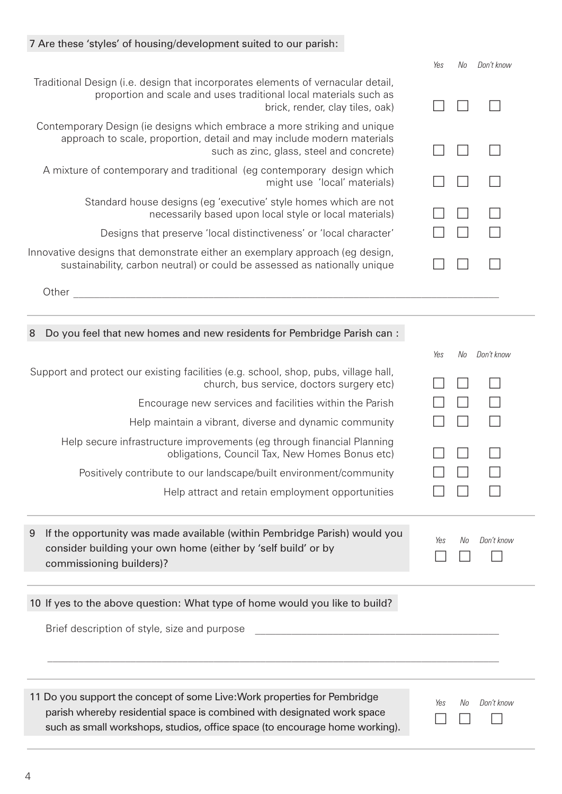## 7 Are these 'styles' of housing/development suited to our parish:

|                                                                                                                                                                                                | Yes | Nn | Don't know |
|------------------------------------------------------------------------------------------------------------------------------------------------------------------------------------------------|-----|----|------------|
| Traditional Design (i.e. design that incorporates elements of vernacular detail,<br>proportion and scale and uses traditional local materials such as<br>brick, render, clay tiles, oak)       |     |    |            |
| Contemporary Design (ie designs which embrace a more striking and unique<br>approach to scale, proportion, detail and may include modern materials<br>such as zinc, glass, steel and concrete) |     |    |            |
| A mixture of contemporary and traditional (eg contemporary design which<br>might use 'local' materials)                                                                                        |     |    |            |
| Standard house designs (eg 'executive' style homes which are not<br>necessarily based upon local style or local materials)                                                                     |     |    |            |
| Designs that preserve 'local distinctiveness' or 'local character'                                                                                                                             |     |    |            |
| Innovative designs that demonstrate either an exemplary approach (eg design,<br>sustainability, carbon neutral) or could be assessed as nationally unique                                      |     |    |            |
| Other                                                                                                                                                                                          |     |    |            |

| 8 | Do you feel that new homes and new residents for Pembridge Parish can:                                                                                                 |     |                |            |
|---|------------------------------------------------------------------------------------------------------------------------------------------------------------------------|-----|----------------|------------|
|   |                                                                                                                                                                        | Yes | No             | Don't know |
|   | Support and protect our existing facilities (e.g. school, shop, pubs, village hall,<br>church, bus service, doctors surgery etc)                                       |     |                |            |
|   | Encourage new services and facilities within the Parish                                                                                                                |     |                |            |
|   | Help maintain a vibrant, diverse and dynamic community                                                                                                                 |     |                |            |
|   | Help secure infrastructure improvements (eg through financial Planning<br>obligations, Council Tax, New Homes Bonus etc)                                               |     |                |            |
|   | Positively contribute to our landscape/built environment/community                                                                                                     |     |                |            |
|   | Help attract and retain employment opportunities                                                                                                                       |     |                |            |
| 9 | If the opportunity was made available (within Pembridge Parish) would you<br>consider building your own home (either by 'self build' or by<br>commissioning builders)? | Yes | N <sub>0</sub> | Don't know |
|   |                                                                                                                                                                        |     |                |            |
|   | 10 If yes to the above question: What type of home would you like to build?                                                                                            |     |                |            |
|   | Brief description of style, size and purpose                                                                                                                           |     |                |            |

| 11 Do you support the concept of some Live: Work properties for Pembridge   | Yes | No Don't know |
|-----------------------------------------------------------------------------|-----|---------------|
| parish whereby residential space is combined with designated work space     |     |               |
| such as small workshops, studios, office space (to encourage home working). |     |               |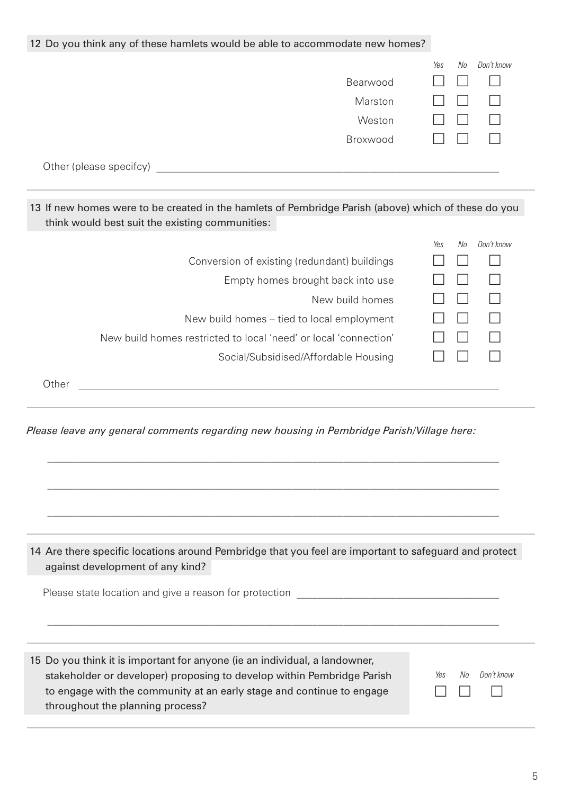| 12 Do you think any of these hamlets would be able to accommodate new homes?                                                                                                                                                                                            |                         |
|-------------------------------------------------------------------------------------------------------------------------------------------------------------------------------------------------------------------------------------------------------------------------|-------------------------|
| Bearwood<br>Marston<br>Weston<br>Broxwood                                                                                                                                                                                                                               | No<br>Don't know<br>Yes |
| 13 If new homes were to be created in the hamlets of Pembridge Parish (above) which of these do you<br>think would best suit the existing communities:                                                                                                                  |                         |
| Conversion of existing (redundant) buildings<br>Empty homes brought back into use<br>New build homes<br>New build homes - tied to local employment<br>New build homes restricted to local 'need' or local 'connection'<br>Social/Subsidised/Affordable Housing<br>Other | Don't know<br>No<br>Yes |
| Please leave any general comments regarding new housing in Pembridge Parish/Village here:                                                                                                                                                                               |                         |

14 Are there specific locations around Pembridge that you feel are important to safeguard and protect against development of any kind?

Please state location and give a reason for protection

15 Do you think it is important for anyone (ie an individual, a landowner, stakeholder or developer) proposing to develop within Pembridge Parish to engage with the community at an early stage and continue to engage throughout the planning process?

*Yes No Don't know*  $\Box$  $\Box$  $\Box$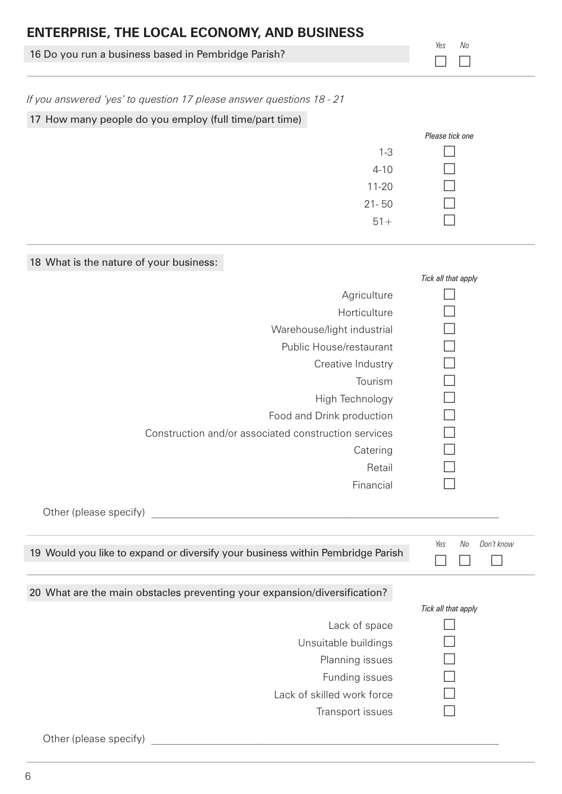| <b>ENTERPRISE, THE LOCAL ECONOMY, AND BUSINESS</b>                   |                     |
|----------------------------------------------------------------------|---------------------|
| 16 Do you run a business based in Pembridge Parish?                  | Yes<br>No           |
| If you answered 'yes' to question 17 please answer questions 18 - 21 |                     |
| 17 How many people do you employ (full time/part time)               |                     |
|                                                                      | Please tick one     |
| $1 - 3$                                                              |                     |
| $4 - 10$                                                             |                     |
| $11 - 20$                                                            |                     |
| $21 - 50$                                                            |                     |
| $51 +$                                                               |                     |
| 18 What is the nature of your business:                              |                     |
|                                                                      | Tick all that apply |
| Agriculture                                                          |                     |
| Horticulture                                                         |                     |
| Warehouse/light industrial                                           |                     |
| Public House/restaurant                                              |                     |

Public House/restaurant<br>
Creative Industry

Food and Drink production<br>iated construction services

Financial

Creative Industry  $\square$ <br>
Tourism  $\square$ 

High Technology  $\Box$ <br>Drink production  $\Box$ 

 $\begin{array}{ccc} \text{Tourism} & \square \\ \text{chnology} & \square \end{array}$ 

Catering  $R$ etail  $\Box$ 

| Other (please specify) |  |
|------------------------|--|
|                        |  |

| 19 Would you like to expand or diversify your business within Pembridge Parish | Yes<br>No<br>Don't know |
|--------------------------------------------------------------------------------|-------------------------|
| 20 What are the main obstacles preventing your expansion/diversification?      |                         |
|                                                                                | Tick all that apply     |
| Lack of space                                                                  |                         |
| Unsuitable buildings                                                           |                         |
| Planning issues                                                                |                         |
| Funding issues                                                                 |                         |
| Lack of skilled work force                                                     |                         |
| Transport issues                                                               |                         |
| Other (please specify)                                                         |                         |

Construction and/or associated construction services  $\Box$ <br>Catering  $\Box$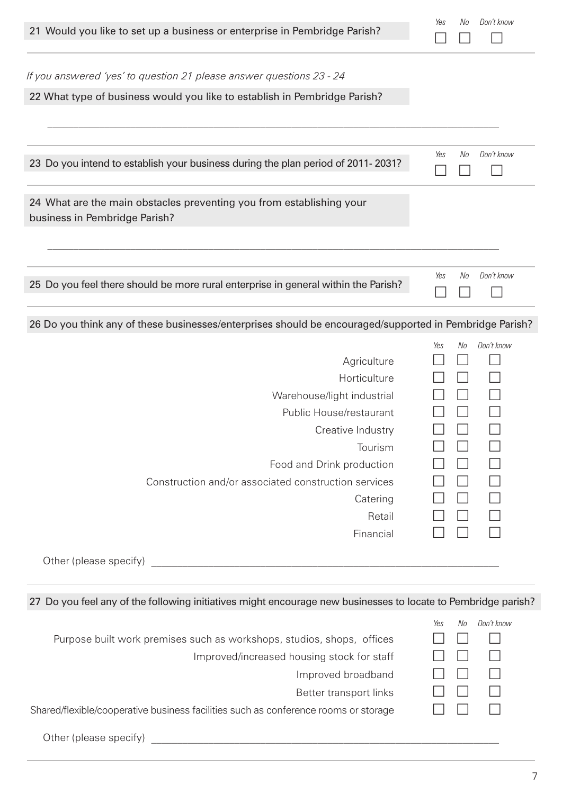| 21 Would you like to set up a business or enterprise in Pembridge Parish?                                                                                                                                                                                   | Yes | No | Don't know |
|-------------------------------------------------------------------------------------------------------------------------------------------------------------------------------------------------------------------------------------------------------------|-----|----|------------|
| If you answered 'yes' to question 21 please answer questions 23 - 24                                                                                                                                                                                        |     |    |            |
| 22 What type of business would you like to establish in Pembridge Parish?                                                                                                                                                                                   |     |    |            |
| 23 Do you intend to establish your business during the plan period of 2011-2031?                                                                                                                                                                            | Yes | No | Don't know |
| 24 What are the main obstacles preventing you from establishing your<br>business in Pembridge Parish?                                                                                                                                                       |     |    |            |
|                                                                                                                                                                                                                                                             | Yes | No | Don't know |
| 25 Do you feel there should be more rural enterprise in general within the Parish?                                                                                                                                                                          |     |    |            |
| 26 Do you think any of these businesses/enterprises should be encouraged/supported in Pembridge Parish?                                                                                                                                                     |     |    |            |
| Agriculture<br>Horticulture<br>Warehouse/light industrial<br>Public House/restaurant<br>Creative Industry<br>Tourism<br>Food and Drink production<br>Construction and/or associated construction services<br>Catering<br>Retail<br>Financial                | Yes | No | Don't know |
|                                                                                                                                                                                                                                                             |     |    |            |
| 27 Do you feel any of the following initiatives might encourage new businesses to locate to Pembridge parish?                                                                                                                                               |     |    |            |
| Purpose built work premises such as workshops, studios, shops, offices<br>Improved/increased housing stock for staff<br>Improved broadband<br>Better transport links<br>Shared/flexible/cooperative business facilities such as conference rooms or storage | Yes | No | Don't know |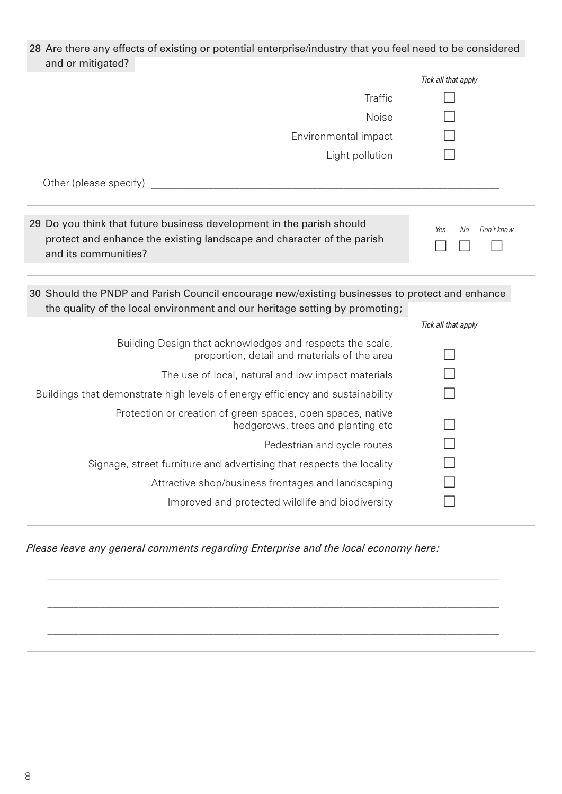| 28 Are there any effects of existing or potential enterprise/industry that you feel need to be considered                                                                     |                         |  |
|-------------------------------------------------------------------------------------------------------------------------------------------------------------------------------|-------------------------|--|
| and or mitigated?                                                                                                                                                             |                         |  |
|                                                                                                                                                                               | Tick all that apply     |  |
| Traffic                                                                                                                                                                       |                         |  |
| <b>Noise</b>                                                                                                                                                                  |                         |  |
| Environmental impact                                                                                                                                                          |                         |  |
| Light pollution                                                                                                                                                               |                         |  |
| Other (please specify) example and the state of the state of the state of the state of the state of the state o                                                               |                         |  |
|                                                                                                                                                                               |                         |  |
| 29 Do you think that future business development in the parish should<br>protect and enhance the existing landscape and character of the parish<br>and its communities?       | Don't know<br>No<br>Yes |  |
| 30 Should the PNDP and Parish Council encourage new/existing businesses to protect and enhance<br>the quality of the local environment and our heritage setting by promoting; |                         |  |
|                                                                                                                                                                               | Tick all that apply     |  |
| Building Design that acknowledges and respects the scale,<br>proportion, detail and materials of the area                                                                     |                         |  |
| The use of local, natural and low impact materials                                                                                                                            |                         |  |
| Buildings that demonstrate high levels of energy efficiency and sustainability                                                                                                |                         |  |
| Protection or creation of green spaces, open spaces, native<br>hedgerows, trees and planting etc                                                                              |                         |  |
| Pedestrian and cycle routes                                                                                                                                                   |                         |  |
| Signage, street furniture and advertising that respects the locality                                                                                                          |                         |  |
| Attractive shop/business frontages and landscaping                                                                                                                            |                         |  |
| Improved and protected wildlife and biodiversity                                                                                                                              |                         |  |

*Please leave any general comments regarding Enterprise and the local economy here:*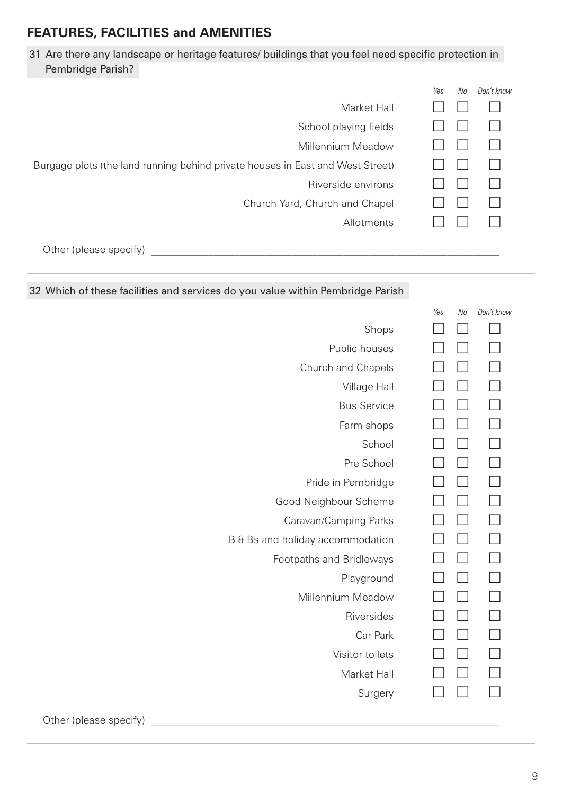#### **FEATURES, FACILITIES and AMENITIES**

#### 31 Are there any landscape or heritage features/ buildings that you feel need specific protection in Pembridge Parish?

|                                                                                | Yes | No | Don't know |
|--------------------------------------------------------------------------------|-----|----|------------|
| Market Hall                                                                    |     |    |            |
| School playing fields                                                          |     |    |            |
| <b>Millennium Meadow</b>                                                       |     |    |            |
| Burgage plots (the land running behind private houses in East and West Street) |     |    |            |
| Riverside environs                                                             |     |    |            |
| Church Yard, Church and Chapel                                                 |     |    |            |
| Allotments                                                                     |     |    |            |
| Other (please specify)                                                         |     |    |            |

#### 32 Which of these facilities and services do you value within Pembridge Parish

|                                  | Yes | No | Don't know |
|----------------------------------|-----|----|------------|
| Shops                            |     |    |            |
| Public houses                    |     |    |            |
| Church and Chapels               |     |    |            |
| Village Hall                     |     |    |            |
| <b>Bus Service</b>               |     |    |            |
| Farm shops                       |     |    |            |
| School                           |     |    |            |
| Pre School                       |     |    |            |
| Pride in Pembridge               |     |    |            |
| Good Neighbour Scheme            |     |    |            |
| Caravan/Camping Parks            |     |    |            |
| B & Bs and holiday accommodation |     |    | $\Box$     |
| Footpaths and Bridleways         |     |    | $\Box$     |
| Playground                       |     |    |            |
| Millennium Meadow                |     |    |            |
| Riversides                       |     |    |            |
| Car Park                         |     |    |            |
| Visitor toilets                  |     |    |            |
| Market Hall                      |     |    |            |
| Surgery                          |     |    |            |
|                                  |     |    |            |

Other (please specify) **with a set of the set of the set of the set of the set of the set of the set of the set of the set of the set of the set of the set of the set of the set of the set of the set of the set of the set**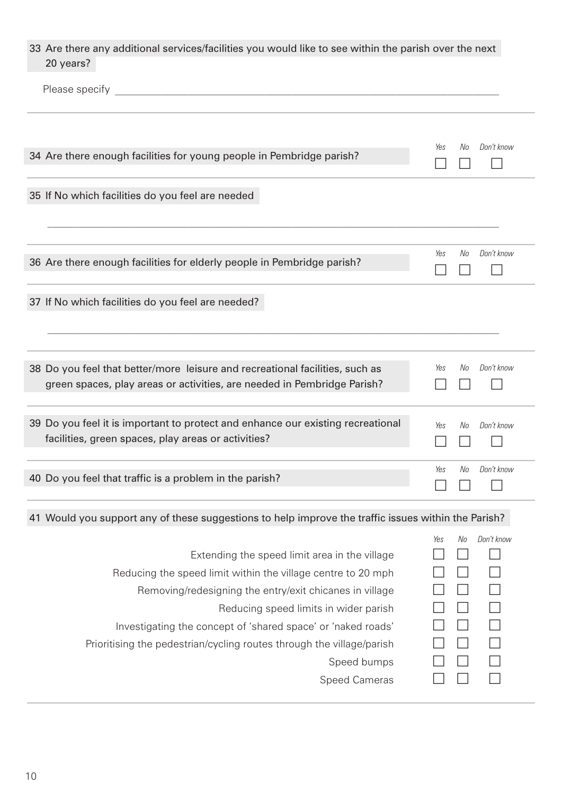| 33 Are there any additional services/facilities you would like to see within the parish over the next<br>20 years?                                                                                                                                                                |                         |
|-----------------------------------------------------------------------------------------------------------------------------------------------------------------------------------------------------------------------------------------------------------------------------------|-------------------------|
|                                                                                                                                                                                                                                                                                   |                         |
| 34 Are there enough facilities for young people in Pembridge parish?                                                                                                                                                                                                              | Don't know<br>No<br>Yes |
| 35 If No which facilities do you feel are needed                                                                                                                                                                                                                                  |                         |
| 36 Are there enough facilities for elderly people in Pembridge parish?                                                                                                                                                                                                            | Don't know<br>Yes<br>No |
| 37 If No which facilities do you feel are needed?                                                                                                                                                                                                                                 |                         |
| 38 Do you feel that better/more leisure and recreational facilities, such as<br>green spaces, play areas or activities, are needed in Pembridge Parish?                                                                                                                           | Don't know<br>No<br>Yes |
| 39 Do you feel it is important to protect and enhance our existing recreational<br>facilities, green spaces, play areas or activities?                                                                                                                                            | Don't know<br>Yes<br>No |
| 40 Do you feel that traffic is a problem in the parish?                                                                                                                                                                                                                           | Don't know<br>Yes<br>No |
| 41 Would you support any of these suggestions to help improve the traffic issues within the Parish?                                                                                                                                                                               |                         |
| Extending the speed limit area in the village<br>Reducing the speed limit within the village centre to 20 mph<br>Removing/redesigning the entry/exit chicanes in village<br>Reducing speed limits in wider parish<br>Investigating the concept of 'shared space' or 'naked roads' | Don't know<br>No<br>Yes |
| Prioritising the pedestrian/cycling routes through the village/parish<br>Speed bumps                                                                                                                                                                                              |                         |

| <b>Speed Cameras</b> |  |  |
|----------------------|--|--|
|                      |  |  |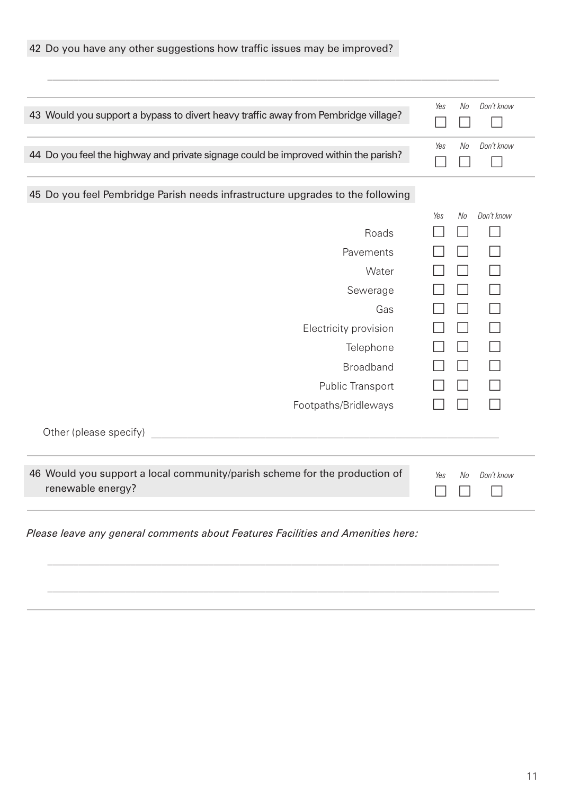| 43 Would you support a bypass to divert heavy traffic away from Pembridge village?              | Yes | No | Don't know |
|-------------------------------------------------------------------------------------------------|-----|----|------------|
|                                                                                                 |     |    |            |
| 44 Do you feel the highway and private signage could be improved within the parish?             | Yes | No | Don't know |
|                                                                                                 |     |    |            |
| 45 Do you feel Pembridge Parish needs infrastructure upgrades to the following                  |     |    |            |
|                                                                                                 | Yes | No | Don't know |
| Roads                                                                                           |     |    |            |
| Pavements                                                                                       |     |    |            |
| Water                                                                                           |     |    |            |
| Sewerage                                                                                        |     |    |            |
| Gas                                                                                             |     |    |            |
| Electricity provision                                                                           |     |    |            |
| Telephone                                                                                       |     |    |            |
| <b>Broadband</b>                                                                                |     |    |            |
| Public Transport                                                                                |     |    |            |
| Footpaths/Bridleways                                                                            |     |    |            |
| Other (please specify)<br><u> 1980 - Johann Stein, marwolaethau a bh</u>                        |     |    |            |
| 46 Would you support a local community/parish scheme for the production of<br>renewable energy? | Yes | No | Don't know |

*Please leave any general comments about Features Facilities and Amenities here:*

42 Do you have any other suggestions how traffic issues may be improved?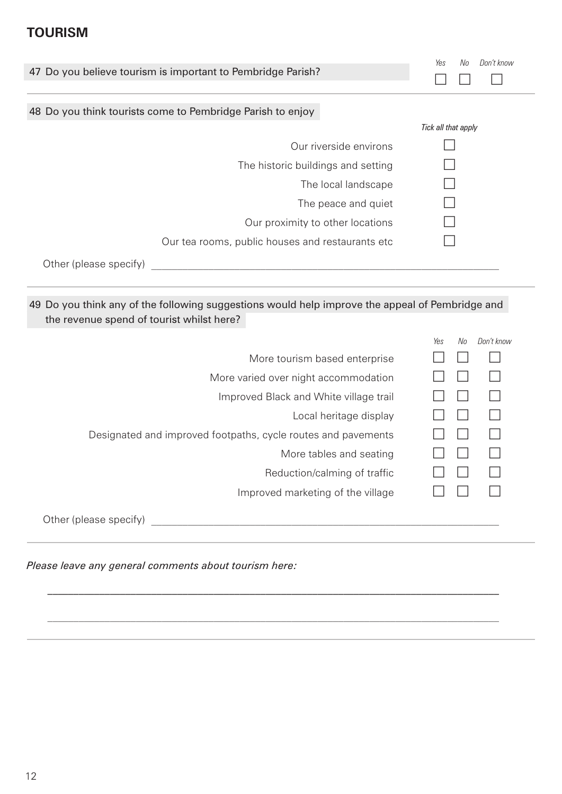#### **TOURISM**

| 47 Do you believe tourism is important to Pembridge Parish?                                                                                                                                                                   | Don't know<br>Yes<br>No |
|-------------------------------------------------------------------------------------------------------------------------------------------------------------------------------------------------------------------------------|-------------------------|
| 48 Do you think tourists come to Pembridge Parish to enjoy                                                                                                                                                                    |                         |
|                                                                                                                                                                                                                               | Tick all that apply     |
| Our riverside environs                                                                                                                                                                                                        |                         |
| The historic buildings and setting                                                                                                                                                                                            |                         |
| The local landscape                                                                                                                                                                                                           |                         |
| The peace and quiet                                                                                                                                                                                                           |                         |
| Our proximity to other locations                                                                                                                                                                                              |                         |
| Our tea rooms, public houses and restaurants etc                                                                                                                                                                              |                         |
| Other (please specify) and the state of the state of the state of the state of the state of the state of the state of the state of the state of the state of the state of the state of the state of the state of the state of |                         |
|                                                                                                                                                                                                                               | Don't know<br>Yes<br>No |
|                                                                                                                                                                                                                               |                         |
| More tourism based enterprise                                                                                                                                                                                                 |                         |
| More varied over night accommodation                                                                                                                                                                                          |                         |
| Improved Black and White village trail                                                                                                                                                                                        |                         |
| Local heritage display                                                                                                                                                                                                        |                         |
| Designated and improved footpaths, cycle routes and pavements                                                                                                                                                                 |                         |
| More tables and seating                                                                                                                                                                                                       |                         |
| Reduction/calming of traffic                                                                                                                                                                                                  |                         |
| Improved marketing of the village                                                                                                                                                                                             |                         |
| Other (please specify)                                                                                                                                                                                                        |                         |

*\_\_\_\_\_\_\_\_\_\_\_\_\_\_\_\_\_\_\_\_\_\_\_\_\_\_\_\_\_\_\_\_\_\_\_\_\_\_\_\_\_\_\_\_\_\_\_\_\_\_\_\_\_\_\_\_\_\_\_\_\_\_\_\_\_\_\_\_\_\_\_\_\_\_\_\_\_\_\_\_\_\_\_\_\_\_\_*

*Please leave any general comments about tourism here:*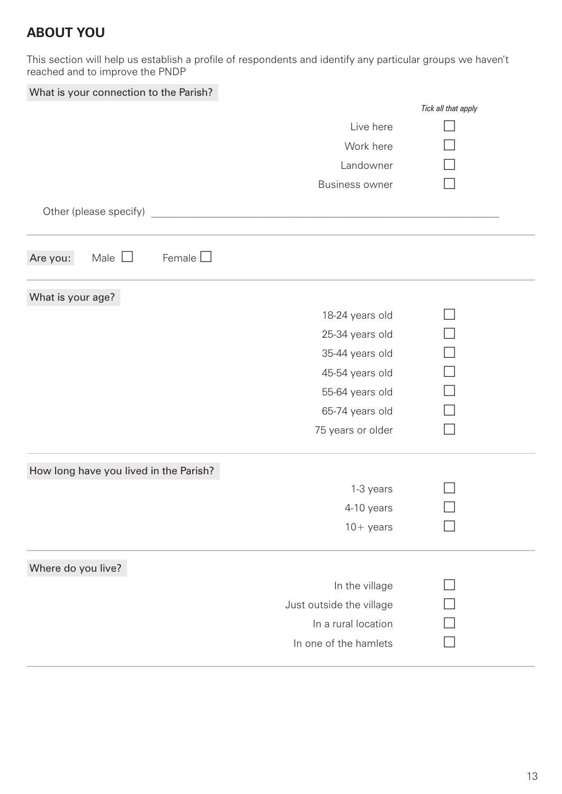## **ABOUT YOU**

This section will help us establish a profile of respondents and identify any particular groups we haven't reached and to improve the PNDP

| What is your connection to the Parish? |  |  |  |
|----------------------------------------|--|--|--|
|----------------------------------------|--|--|--|

|                                          |                          | Tick all that apply |
|------------------------------------------|--------------------------|---------------------|
|                                          | Live here                |                     |
|                                          | Work here                |                     |
|                                          | Landowner                |                     |
|                                          | <b>Business owner</b>    |                     |
|                                          |                          |                     |
| Other (please specify)                   |                          |                     |
|                                          |                          |                     |
| Female $\Box$<br>Male $\Box$<br>Are you: |                          |                     |
| What is your age?                        |                          |                     |
|                                          | 18-24 years old          |                     |
|                                          | 25-34 years old          |                     |
|                                          | 35-44 years old          |                     |
|                                          | 45-54 years old          |                     |
|                                          | 55-64 years old          |                     |
|                                          | 65-74 years old          |                     |
|                                          | 75 years or older        |                     |
| How long have you lived in the Parish?   |                          |                     |
|                                          | 1-3 years                |                     |
|                                          | 4-10 years               |                     |
|                                          | $10+$ years              |                     |
| Where do you live?                       |                          |                     |
|                                          | In the village           |                     |
|                                          | Just outside the village |                     |
|                                          | In a rural location      |                     |
|                                          | In one of the hamlets    |                     |
|                                          |                          |                     |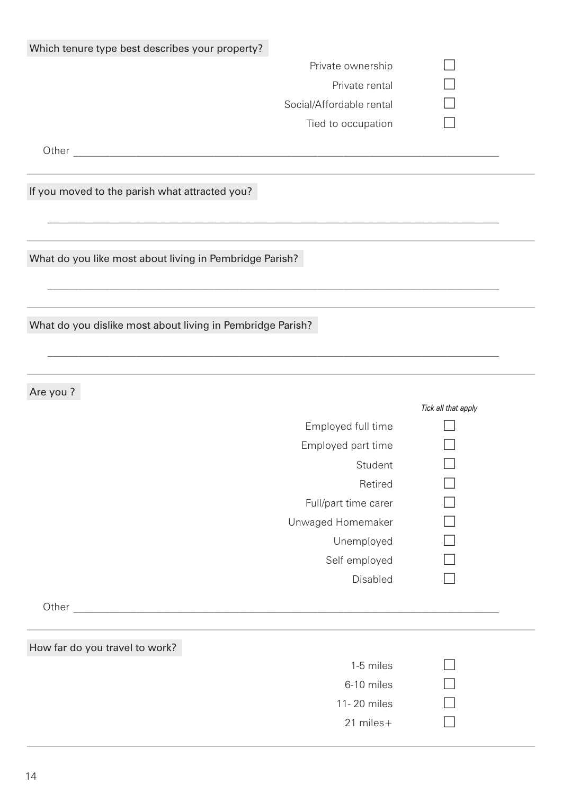| Which tenure type best describes your property?            |                     |  |  |
|------------------------------------------------------------|---------------------|--|--|
| Private ownership                                          |                     |  |  |
| Private rental                                             |                     |  |  |
| Social/Affordable rental                                   |                     |  |  |
| Tied to occupation                                         |                     |  |  |
|                                                            |                     |  |  |
| If you moved to the parish what attracted you?             |                     |  |  |
| What do you like most about living in Pembridge Parish?    |                     |  |  |
| What do you dislike most about living in Pembridge Parish? |                     |  |  |
| Are you?                                                   |                     |  |  |
|                                                            | Tick all that apply |  |  |
| Employed full time                                         |                     |  |  |
| Employed part time                                         |                     |  |  |
| Student                                                    |                     |  |  |
| Retired                                                    |                     |  |  |
|                                                            |                     |  |  |
| Full/part time carer                                       |                     |  |  |
| Unwaged Homemaker                                          |                     |  |  |
| Unemployed                                                 |                     |  |  |
| Self employed                                              |                     |  |  |
| Disabled                                                   |                     |  |  |
|                                                            |                     |  |  |
| How far do you travel to work?                             |                     |  |  |
| 1-5 miles                                                  |                     |  |  |
| 6-10 miles                                                 |                     |  |  |
| 11-20 miles                                                |                     |  |  |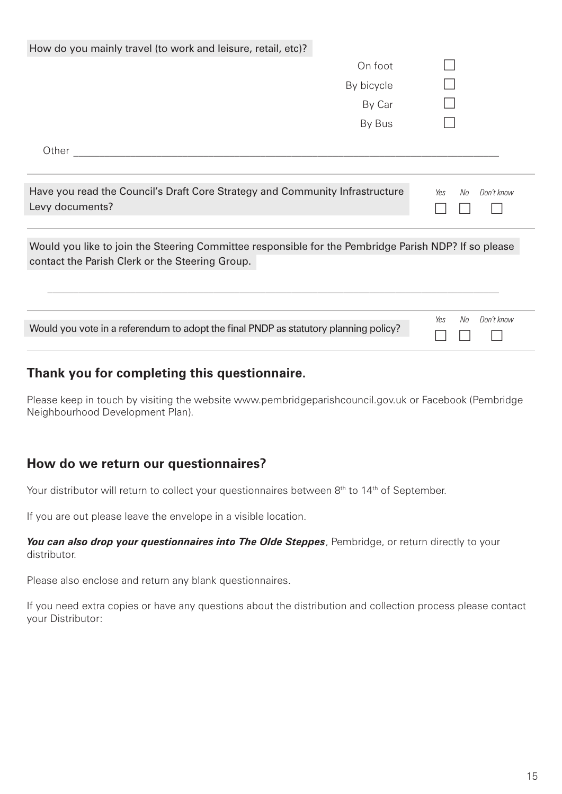| How do you mainly travel (to work and leisure, retail, etc)?                                                                                            |            |                         |
|---------------------------------------------------------------------------------------------------------------------------------------------------------|------------|-------------------------|
|                                                                                                                                                         | On foot    |                         |
|                                                                                                                                                         | By bicycle |                         |
|                                                                                                                                                         | By Car     |                         |
|                                                                                                                                                         | By Bus     |                         |
| Other                                                                                                                                                   |            |                         |
| Have you read the Council's Draft Core Strategy and Community Infrastructure<br>Levy documents?                                                         |            | No<br>Don't know<br>Yes |
| Would you like to join the Steering Committee responsible for the Pembridge Parish NDP? If so please<br>contact the Parish Clerk or the Steering Group. |            |                         |
| Would you vote in a referendum to adopt the final PNDP as statutory planning policy?                                                                    |            | Don't know<br>No<br>Yes |

#### **Thank you for completing this questionnaire.**

Please keep in touch by visiting the website www.pembridgeparishcouncil.gov.uk or Facebook (Pembridge Neighbourhood Development Plan).

#### **How do we return our questionnaires?**

Your distributor will return to collect your questionnaires between 8<sup>th</sup> to 14<sup>th</sup> of September.

If you are out please leave the envelope in a visible location.

*You can also drop your questionnaires into The Olde Steppes, Pembridge, or return directly to your* distributor.

Please also enclose and return any blank questionnaires.

If you need extra copies or have any questions about the distribution and collection process please contact your Distributor: